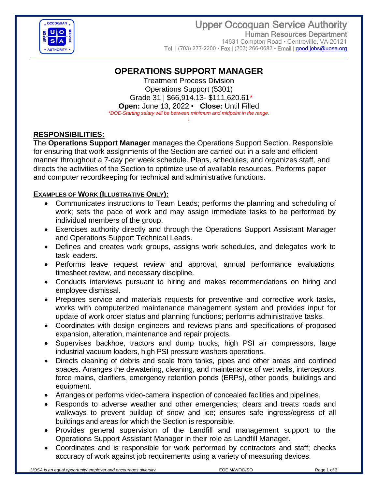

## Upper Occoquan Service Authority Human Resources Department 14631 Compton Road · Centreville, VA 20121

Tel. | (703) 277-2200 • Fax | (703) 266-0682 • Email | [good.jobs@uosa.org](../../Vacancies%20%5e%20CLOSED/2017%20CLOSED%20Vacancies/5351%20Support%20Specialist%20TRAINEE%20(May%202017)/AppData/Local/Microsoft/Windows/INetCache/Content.Outlook/AppData/Local/Microsoft/Windows/Temporary%20Internet%20Files/Content.Outlook/AppData/Local/Microsoft/Windows/Temporary%20Internet%20Files/Content.Outlook/AppData/Local/Microsoft/Windows/Temporary%20Internet%20Files/Content.Outlook/AppData/Local/Microsoft/Windows/Temporary%20Internet%20Files/Administrative%20Assistant%20(Mar%202014)/Mechanic%20(Dec%202013)/Vacancy%20Annoucements/good.jobs@uosa.org)

# **OPERATIONS SUPPORT MANAGER**

Treatment Process Division Operations Support (5301) Grade 31 | \$66,914.13- \$111,620.61\* **Open:** June 13, 2022 ▪ **Close:** Until Filled *\*DOE-Starting salary will be between minimum and midpoint in the range.*

*.*

## **RESPONSIBILITIES:**

The **Operations Support Manager** manages the Operations Support Section. Responsible for ensuring that work assignments of the Section are carried out in a safe and efficient manner throughout a 7-day per week schedule. Plans, schedules, and organizes staff, and directs the activities of the Section to optimize use of available resources. Performs paper and computer recordkeeping for technical and administrative functions.

#### **EXAMPLES OF WORK (ILLUSTRATIVE ONLY):**

- Communicates instructions to Team Leads; performs the planning and scheduling of work; sets the pace of work and may assign immediate tasks to be performed by individual members of the group.
- Exercises authority directly and through the Operations Support Assistant Manager and Operations Support Technical Leads.
- Defines and creates work groups, assigns work schedules, and delegates work to task leaders.
- Performs leave request review and approval, annual performance evaluations, timesheet review, and necessary discipline.
- Conducts interviews pursuant to hiring and makes recommendations on hiring and employee dismissal.
- Prepares service and materials requests for preventive and corrective work tasks, works with computerized maintenance management system and provides input for update of work order status and planning functions; performs administrative tasks.
- Coordinates with design engineers and reviews plans and specifications of proposed expansion, alteration, maintenance and repair projects.
- Supervises backhoe, tractors and dump trucks, high PSI air compressors, large industrial vacuum loaders, high PSI pressure washers operations.
- Directs cleaning of debris and scale from tanks, pipes and other areas and confined spaces. Arranges the dewatering, cleaning, and maintenance of wet wells, interceptors, force mains, clarifiers, emergency retention ponds (ERPs), other ponds, buildings and equipment.
- Arranges or performs video-camera inspection of concealed facilities and pipelines.
- Responds to adverse weather and other emergencies; clears and treats roads and walkways to prevent buildup of snow and ice; ensures safe ingress/egress of all buildings and areas for which the Section is responsible.
- Provides general supervision of the Landfill and management support to the Operations Support Assistant Manager in their role as Landfill Manager.
- Coordinates and is responsible for work performed by contractors and staff; checks accuracy of work against job requirements using a variety of measuring devices.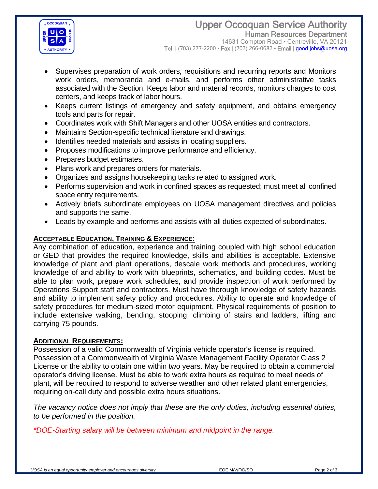

- Supervises preparation of work orders, requisitions and recurring reports and Monitors work orders, memoranda and e-mails, and performs other administrative tasks associated with the Section. Keeps labor and material records, monitors charges to cost centers, and keeps track of labor hours.
- Keeps current listings of emergency and safety equipment, and obtains emergency tools and parts for repair.
- Coordinates work with Shift Managers and other UOSA entities and contractors.
- Maintains Section-specific technical literature and drawings.
- Identifies needed materials and assists in locating suppliers.
- Proposes modifications to improve performance and efficiency.
- Prepares budget estimates.
- Plans work and prepares orders for materials.
- Organizes and assigns housekeeping tasks related to assigned work.
- Performs supervision and work in confined spaces as requested; must meet all confined space entry requirements.
- Actively briefs subordinate employees on UOSA management directives and policies and supports the same.
- Leads by example and performs and assists with all duties expected of subordinates.

## **ACCEPTABLE EDUCATION, TRAINING & EXPERIENCE:**

Any combination of education, experience and training coupled with high school education or GED that provides the required knowledge, skills and abilities is acceptable. Extensive knowledge of plant and plant operations, descale work methods and procedures, working knowledge of and ability to work with blueprints, schematics, and building codes. Must be able to plan work, prepare work schedules, and provide inspection of work performed by Operations Support staff and contractors. Must have thorough knowledge of safety hazards and ability to implement safety policy and procedures. Ability to operate and knowledge of safety procedures for medium-sized motor equipment. Physical requirements of position to include extensive walking, bending, stooping, climbing of stairs and ladders, lifting and carrying 75 pounds.

#### **ADDITIONAL REQUIREMENTS:**

Possession of a valid Commonwealth of Virginia vehicle operator's license is required. Possession of a Commonwealth of Virginia Waste Management Facility Operator Class 2 License or the ability to obtain one within two years. May be required to obtain a commercial operator's driving license. Must be able to work extra hours as required to meet needs of plant, will be required to respond to adverse weather and other related plant emergencies, requiring on-call duty and possible extra hours situations.

*The vacancy notice does not imply that these are the only duties, including essential duties, to be performed in the position.*

*\*DOE-Starting salary will be between minimum and midpoint in the range.*